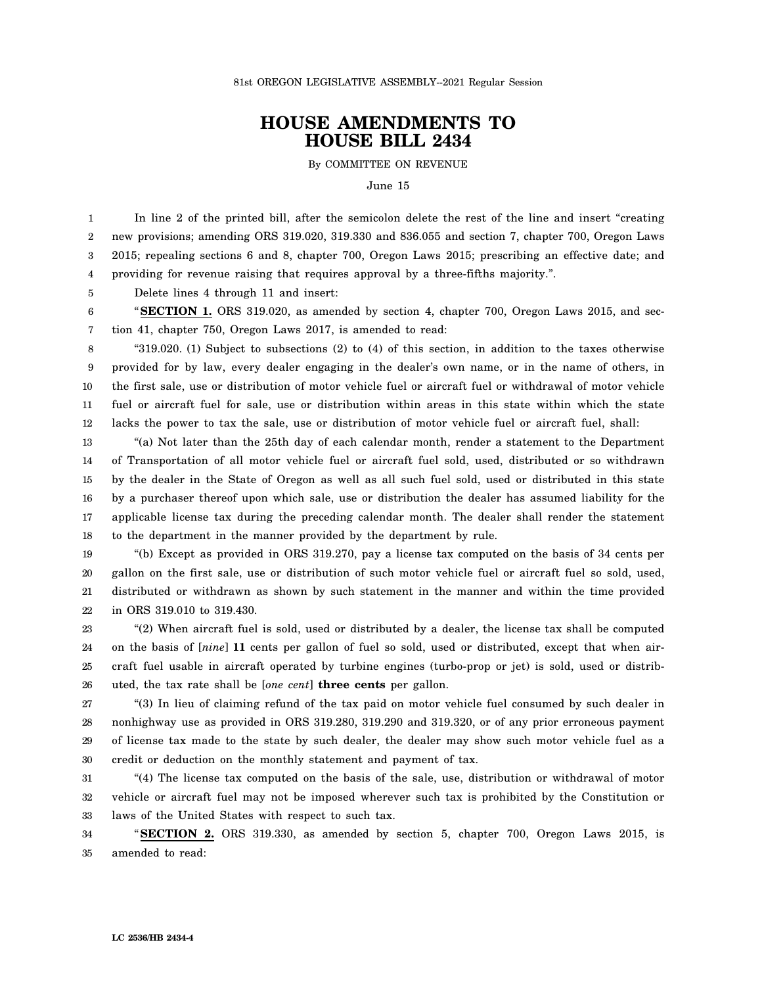## **HOUSE AMENDMENTS TO HOUSE BILL 2434**

By COMMITTEE ON REVENUE

June 15

1 2 3 4 In line 2 of the printed bill, after the semicolon delete the rest of the line and insert "creating new provisions; amending ORS 319.020, 319.330 and 836.055 and section 7, chapter 700, Oregon Laws 2015; repealing sections 6 and 8, chapter 700, Oregon Laws 2015; prescribing an effective date; and providing for revenue raising that requires approval by a three-fifths majority.".

5 Delete lines 4 through 11 and insert:

6 7 "**SECTION 1.** ORS 319.020, as amended by section 4, chapter 700, Oregon Laws 2015, and section 41, chapter 750, Oregon Laws 2017, is amended to read:

8 9 10 11 12 "319.020. (1) Subject to subsections (2) to (4) of this section, in addition to the taxes otherwise provided for by law, every dealer engaging in the dealer's own name, or in the name of others, in the first sale, use or distribution of motor vehicle fuel or aircraft fuel or withdrawal of motor vehicle fuel or aircraft fuel for sale, use or distribution within areas in this state within which the state lacks the power to tax the sale, use or distribution of motor vehicle fuel or aircraft fuel, shall:

13 14 15 16 17 18 "(a) Not later than the 25th day of each calendar month, render a statement to the Department of Transportation of all motor vehicle fuel or aircraft fuel sold, used, distributed or so withdrawn by the dealer in the State of Oregon as well as all such fuel sold, used or distributed in this state by a purchaser thereof upon which sale, use or distribution the dealer has assumed liability for the applicable license tax during the preceding calendar month. The dealer shall render the statement to the department in the manner provided by the department by rule.

19 20 21 22 "(b) Except as provided in ORS 319.270, pay a license tax computed on the basis of 34 cents per gallon on the first sale, use or distribution of such motor vehicle fuel or aircraft fuel so sold, used, distributed or withdrawn as shown by such statement in the manner and within the time provided in ORS 319.010 to 319.430.

23 24 25 26 "(2) When aircraft fuel is sold, used or distributed by a dealer, the license tax shall be computed on the basis of [*nine*] **11** cents per gallon of fuel so sold, used or distributed, except that when aircraft fuel usable in aircraft operated by turbine engines (turbo-prop or jet) is sold, used or distributed, the tax rate shall be [*one cent*] **three cents** per gallon.

27 28 29 30 "(3) In lieu of claiming refund of the tax paid on motor vehicle fuel consumed by such dealer in nonhighway use as provided in ORS 319.280, 319.290 and 319.320, or of any prior erroneous payment of license tax made to the state by such dealer, the dealer may show such motor vehicle fuel as a credit or deduction on the monthly statement and payment of tax.

31 32 33 "(4) The license tax computed on the basis of the sale, use, distribution or withdrawal of motor vehicle or aircraft fuel may not be imposed wherever such tax is prohibited by the Constitution or laws of the United States with respect to such tax.

34 35 "**SECTION 2.** ORS 319.330, as amended by section 5, chapter 700, Oregon Laws 2015, is amended to read: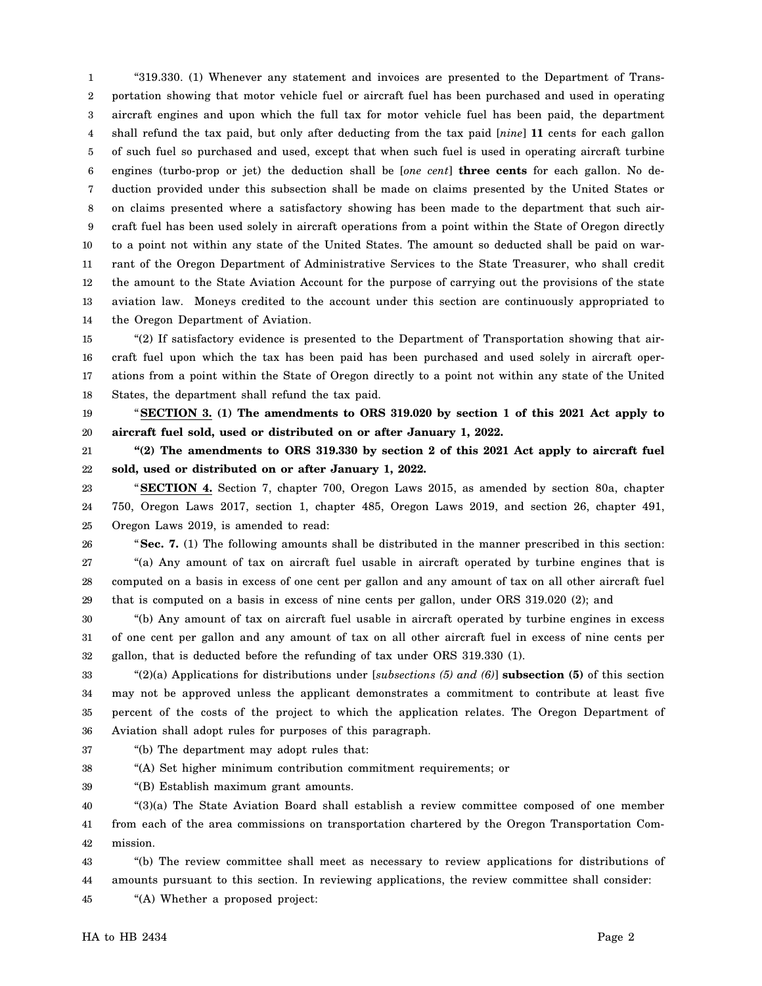1 2 3 4 5 6 7 8 9 10 11 12 13 14 "319.330. (1) Whenever any statement and invoices are presented to the Department of Transportation showing that motor vehicle fuel or aircraft fuel has been purchased and used in operating aircraft engines and upon which the full tax for motor vehicle fuel has been paid, the department shall refund the tax paid, but only after deducting from the tax paid [*nine*] **11** cents for each gallon of such fuel so purchased and used, except that when such fuel is used in operating aircraft turbine engines (turbo-prop or jet) the deduction shall be [*one cent*] **three cents** for each gallon. No deduction provided under this subsection shall be made on claims presented by the United States or on claims presented where a satisfactory showing has been made to the department that such aircraft fuel has been used solely in aircraft operations from a point within the State of Oregon directly to a point not within any state of the United States. The amount so deducted shall be paid on warrant of the Oregon Department of Administrative Services to the State Treasurer, who shall credit the amount to the State Aviation Account for the purpose of carrying out the provisions of the state aviation law. Moneys credited to the account under this section are continuously appropriated to the Oregon Department of Aviation.

15 16 17 18 "(2) If satisfactory evidence is presented to the Department of Transportation showing that aircraft fuel upon which the tax has been paid has been purchased and used solely in aircraft operations from a point within the State of Oregon directly to a point not within any state of the United States, the department shall refund the tax paid.

19 20 "**SECTION 3. (1) The amendments to ORS 319.020 by section 1 of this 2021 Act apply to aircraft fuel sold, used or distributed on or after January 1, 2022.**

21 22 **"(2) The amendments to ORS 319.330 by section 2 of this 2021 Act apply to aircraft fuel sold, used or distributed on or after January 1, 2022.**

23 24 25 "**SECTION 4.** Section 7, chapter 700, Oregon Laws 2015, as amended by section 80a, chapter 750, Oregon Laws 2017, section 1, chapter 485, Oregon Laws 2019, and section 26, chapter 491, Oregon Laws 2019, is amended to read:

26 27 28 29 "**Sec. 7.** (1) The following amounts shall be distributed in the manner prescribed in this section: "(a) Any amount of tax on aircraft fuel usable in aircraft operated by turbine engines that is computed on a basis in excess of one cent per gallon and any amount of tax on all other aircraft fuel that is computed on a basis in excess of nine cents per gallon, under ORS 319.020 (2); and

30 31 32 "(b) Any amount of tax on aircraft fuel usable in aircraft operated by turbine engines in excess of one cent per gallon and any amount of tax on all other aircraft fuel in excess of nine cents per gallon, that is deducted before the refunding of tax under ORS 319.330 (1).

33 34 35 36 "(2)(a) Applications for distributions under [*subsections (5) and (6)*] **subsection (5)** of this section may not be approved unless the applicant demonstrates a commitment to contribute at least five percent of the costs of the project to which the application relates. The Oregon Department of Aviation shall adopt rules for purposes of this paragraph.

37 "(b) The department may adopt rules that:

38 "(A) Set higher minimum contribution commitment requirements; or

39 "(B) Establish maximum grant amounts.

40 41 42 "(3)(a) The State Aviation Board shall establish a review committee composed of one member from each of the area commissions on transportation chartered by the Oregon Transportation Commission.

43 44 "(b) The review committee shall meet as necessary to review applications for distributions of amounts pursuant to this section. In reviewing applications, the review committee shall consider:

45 "(A) Whether a proposed project: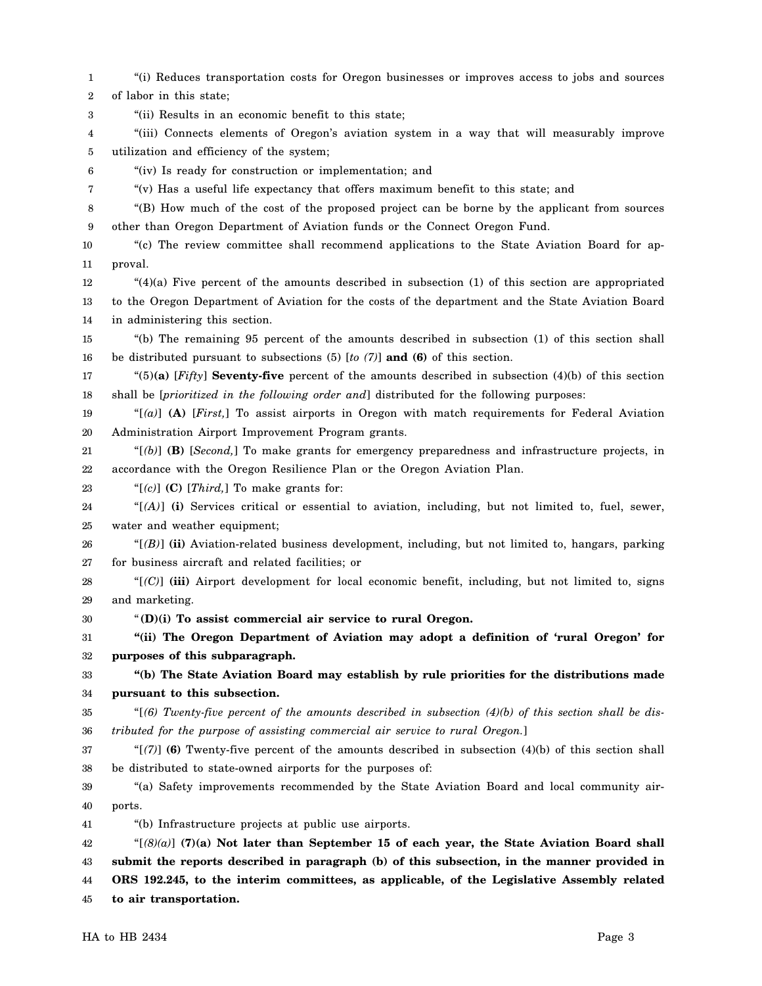1 2 3 "(i) Reduces transportation costs for Oregon businesses or improves access to jobs and sources of labor in this state; "(ii) Results in an economic benefit to this state;

4 5 "(iii) Connects elements of Oregon's aviation system in a way that will measurably improve utilization and efficiency of the system;

6 "(iv) Is ready for construction or implementation; and

7

"(v) Has a useful life expectancy that offers maximum benefit to this state; and

8 9 "(B) How much of the cost of the proposed project can be borne by the applicant from sources other than Oregon Department of Aviation funds or the Connect Oregon Fund.

10 11 "(c) The review committee shall recommend applications to the State Aviation Board for approval.

12 13 14  $^{(4)}$ (a) Five percent of the amounts described in subsection (1) of this section are appropriated to the Oregon Department of Aviation for the costs of the department and the State Aviation Board in administering this section.

15 16 "(b) The remaining 95 percent of the amounts described in subsection (1) of this section shall be distributed pursuant to subsections (5) [*to (7)*] **and (6)** of this section.

17 18 "(5)**(a)** [*Fifty*] **Seventy-five** percent of the amounts described in subsection (4)(b) of this section shall be [*prioritized in the following order and*] distributed for the following purposes:

19 20 "[*(a)*] **(A)** [*First,*] To assist airports in Oregon with match requirements for Federal Aviation Administration Airport Improvement Program grants.

21 22 "[*(b)*] **(B)** [*Second,*] To make grants for emergency preparedness and infrastructure projects, in accordance with the Oregon Resilience Plan or the Oregon Aviation Plan.

23 "[*(c)*] **(C)** [*Third,*] To make grants for:

24 25 "[*(A)*] **(i)** Services critical or essential to aviation, including, but not limited to, fuel, sewer, water and weather equipment;

26 27 " $[$  $(B)$ ] (ii) Aviation-related business development, including, but not limited to, hangars, parking for business aircraft and related facilities; or

28 29 "[*(C)*] **(iii)** Airport development for local economic benefit, including, but not limited to, signs and marketing.

30 "**(D)(i) To assist commercial air service to rural Oregon.**

31 32 **"(ii) The Oregon Department of Aviation may adopt a definition of 'rural Oregon' for purposes of this subparagraph.**

33 34 **"(b) The State Aviation Board may establish by rule priorities for the distributions made pursuant to this subsection.**

35 36 "[*(6) Twenty-five percent of the amounts described in subsection (4)(b) of this section shall be distributed for the purpose of assisting commercial air service to rural Oregon.*]

37 38 "[*(7)*] **(6)** Twenty-five percent of the amounts described in subsection (4)(b) of this section shall be distributed to state-owned airports for the purposes of:

39 40 "(a) Safety improvements recommended by the State Aviation Board and local community airports.

41 "(b) Infrastructure projects at public use airports.

42 43 44 45 "[*(8)(a)*] **(7)(a) Not later than September 15 of each year, the State Aviation Board shall submit the reports described in paragraph (b) of this subsection, in the manner provided in ORS 192.245, to the interim committees, as applicable, of the Legislative Assembly related to air transportation.**